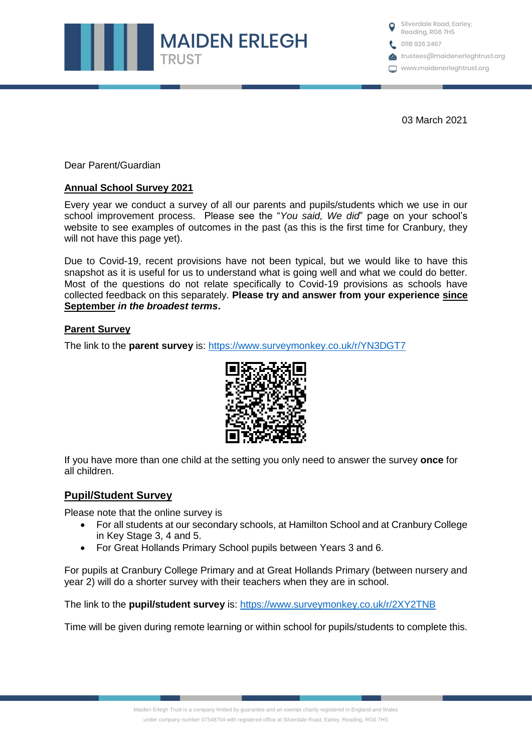

Silverdale Road, Earley, Reading, RG6 7HS ● 0118 926 2467 **trustees@maidenerleghtrust.org** www.maidenerleghtrust.org

03 March 2021

Dear Parent/Guardian

## **Annual School Survey 2021**

Every year we conduct a survey of all our parents and pupils/students which we use in our school improvement process. Please see the "*You said, We did*" page on your school's website to see examples of outcomes in the past (as this is the first time for Cranbury, they will not have this page yet).

Due to Covid-19, recent provisions have not been typical, but we would like to have this snapshot as it is useful for us to understand what is going well and what we could do better. Most of the questions do not relate specifically to Covid-19 provisions as schools have collected feedback on this separately. **Please try and answer from your experience since September** *in the broadest terms***.** 

## **Parent Survey**

The link to the **parent survey** is:<https://www.surveymonkey.co.uk/r/YN3DGT7>



If you have more than one child at the setting you only need to answer the survey **once** for all children.

# **Pupil/Student Survey**

Please note that the online survey is

- For all students at our secondary schools, at Hamilton School and at Cranbury College in Key Stage 3, 4 and 5.
- For Great Hollands Primary School pupils between Years 3 and 6.

For pupils at Cranbury College Primary and at Great Hollands Primary (between nursery and year 2) will do a shorter survey with their teachers when they are in school.

The link to the **pupil/student survey** is:<https://www.surveymonkey.co.uk/r/2XY2TNB>

Time will be given during remote learning or within school for pupils/students to complete this.

Maiden Erlegh Trust is a company limited by guarantee and an exempt charity registered in England and Wales under company number 07548754 with registered office at Silverdale Road, Earley, Reading, RG6 7HS